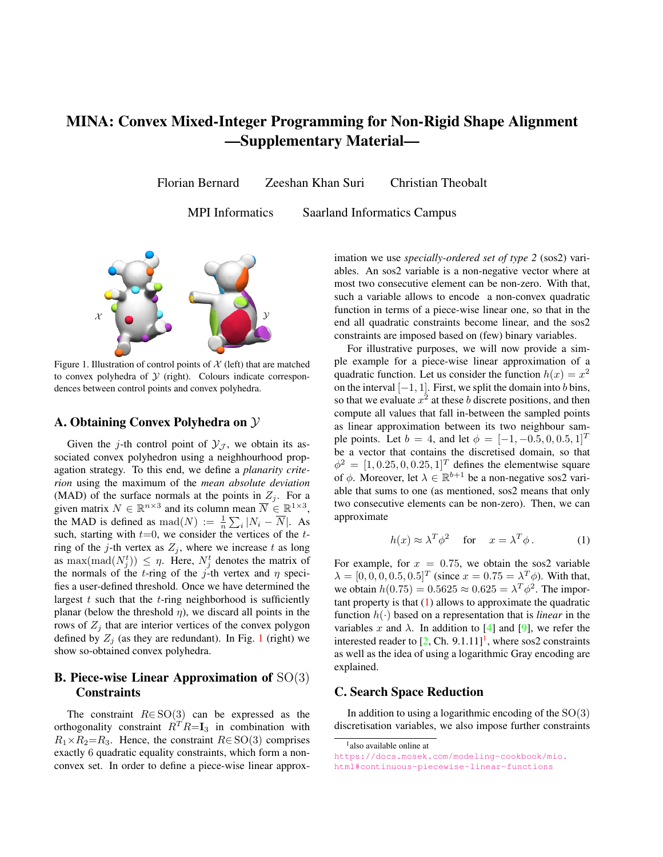# <span id="page-0-5"></span>MINA: Convex Mixed-Integer Programming for Non-Rigid Shape Alignment —Supplementary Material—

Florian Bernard Zeeshan Khan Suri Christian Theobalt

MPI Informatics Saarland Informatics Campus



<span id="page-0-0"></span>Figure 1. Illustration of control points of  $X$  (left) that are matched to convex polyhedra of  $Y$  (right). Colours indicate correspondences between control points and convex polyhedra.

#### <span id="page-0-3"></span>A. Obtaining Convex Polyhedra on Y

Given the j-th control point of  $\mathcal{Y}_{\mathcal{J}}$ , we obtain its associated convex polyhedron using a neighhourhood propagation strategy. To this end, we define a *planarity criterion* using the maximum of the *mean absolute deviation* (MAD) of the surface normals at the points in  $Z_i$ . For a given matrix  $N \in \mathbb{R}^{n \times 3}$  and its column mean  $\overline{N} \in \mathbb{R}^{1 \times 3}$ , the MAD is defined as  $\text{mad}(N) := \frac{1}{n} \sum_i |N_i - \overline{N}|$ . As such, starting with  $t=0$ , we consider the vertices of the  $t$ ring of the j-th vertex as  $Z_j$ , where we increase t as long as max $(\text{mad}(N_j^t)) \leq \eta$ . Here,  $N_j^t$  denotes the matrix of the normals of the t-ring of the j-th vertex and  $\eta$  specifies a user-defined threshold. Once we have determined the largest  $t$  such that the  $t$ -ring neighborhood is sufficiently planar (below the threshold  $\eta$ ), we discard all points in the rows of  $Z_i$  that are interior vertices of the convex polygon defined by  $Z_j$  (as they are redundant). In Fig. [1](#page-0-0) (right) we show so-obtained convex polyhedra.

## B. Piece-wise Linear Approximation of SO(3) **Constraints**

The constraint  $R \in SO(3)$  can be expressed as the orthogonality constraint  $R^T R = I_3$  in combination with  $R_1 \times R_2 = R_3$ . Hence, the constraint  $R \in SO(3)$  comprises exactly 6 quadratic equality constraints, which form a nonconvex set. In order to define a piece-wise linear approximation we use *specially-ordered set of type 2* (sos2) variables. An sos2 variable is a non-negative vector where at most two consecutive element can be non-zero. With that, such a variable allows to encode a non-convex quadratic function in terms of a piece-wise linear one, so that in the end all quadratic constraints become linear, and the sos2 constraints are imposed based on (few) binary variables.

For illustrative purposes, we will now provide a simple example for a piece-wise linear approximation of a quadratic function. Let us consider the function  $h(x) = x^2$ on the interval  $[-1, 1]$ . First, we split the domain into b bins, so that we evaluate  $x^2$  at these b discrete positions, and then compute all values that fall in-between the sampled points as linear approximation between its two neighbour sample points. Let  $b = 4$ , and let  $\phi = [-1, -0.5, 0, 0.5, 1]^T$ be a vector that contains the discretised domain, so that  $\phi^2 = [1, 0.25, 0, 0.25, 1]^T$  defines the elementwise square of  $\phi$ . Moreover, let  $\lambda \in \mathbb{R}^{b+1}$  be a non-negative sos2 variable that sums to one (as mentioned, sos2 means that only two consecutive elements can be non-zero). Then, we can approximate

<span id="page-0-1"></span>
$$
h(x) \approx \lambda^T \phi^2 \quad \text{for} \quad x = \lambda^T \phi. \tag{1}
$$

For example, for  $x = 0.75$ , we obtain the sos2 variable  $\lambda = [0, 0, 0, 0.5, 0.5]^T$  (since  $x = 0.75 = \lambda^T \phi$ ). With that, we obtain  $h(0.75) = 0.5625 \approx 0.625 = \lambda^T \phi^2$ . The important property is that  $(1)$  allows to approximate the quadratic function  $h(\cdot)$  based on a representation that is *linear* in the variables x and  $\lambda$ . In addition to [\[4\]](#page-2-0) and [\[9\]](#page-2-1), we refer the interested reader to  $[2, Ch. 9.1.11]$  $[2, Ch. 9.1.11]$  $[2, Ch. 9.1.11]$  $[2, Ch. 9.1.11]$ <sup>1</sup>, where sos2 constraints as well as the idea of using a logarithmic Gray encoding are explained.

#### <span id="page-0-4"></span>C. Search Space Reduction

In addition to using a logarithmic encoding of the  $SO(3)$ discretisation variables, we also impose further constraints

```
1
also available online at
```
[https://docs.mosek.com/modeling-cookbook/mio.](https://docs.mosek.com/modeling-cookbook/mio.html#continuous-piecewise-linear-functions) [html#continuous-piecewise-linear-functions](https://docs.mosek.com/modeling-cookbook/mio.html#continuous-piecewise-linear-functions)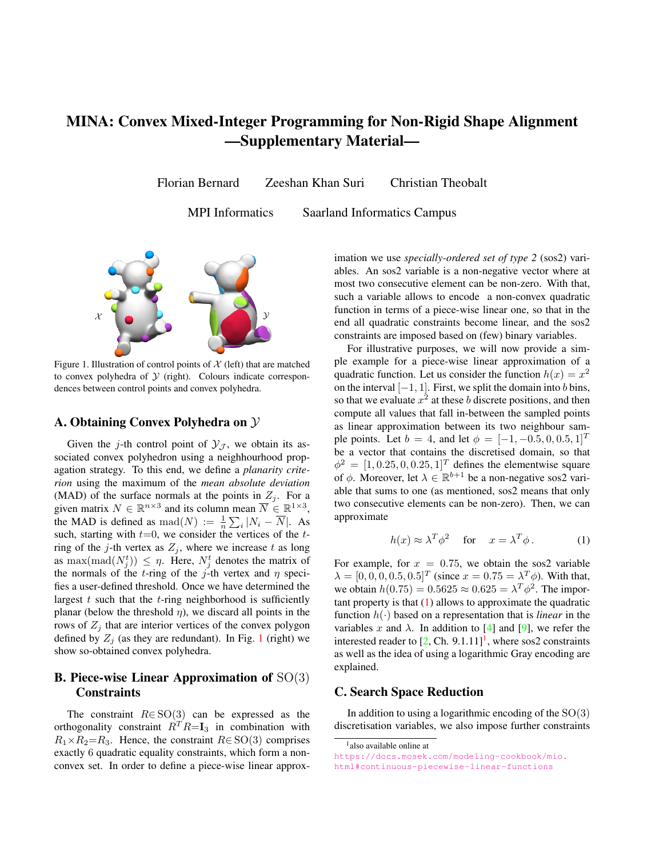<span id="page-1-1"></span>

<span id="page-1-0"></span>Figure 2. Shape  $X$  (left) is matched to  $Y$ , where a search space reduction using ADG [\[6\]](#page-2-3) leads to wrong matchings (middle), whereas ours produces correct correspondences (right).

upon the matching matrix  $P$ , so that the size of the overall search space can be reduced. A similar idea has also been pursued in [\[6\]](#page-2-3), where a scalar criterion based on the average geodesic distance (ADG) was used. In contrast, rather than using a single scalar value for each vertex, we propose to leverage a more powerful approach that considers more de-scriptive statistics of geodesic distances, see Fig. [2.](#page-1-0) To this end, for each control point we compute  $n<sub>prctile</sub>$  evenly spaced percentiles from 0 to 100% of the geodesic distance from this control point to all other points. Let  $\gamma^{\mathcal{X}} \in \mathbb{R}^{u \times n_{\text{prctile}}}$ and  $\gamma^{\mathcal{Y}} \in \mathbb{R}^{v \times n_{\text{prctile}}}$  denote the so-obtained percentile matrices, where the columns are the ordered percentiles from 0 to 100%. As such, the matrices  $\gamma^{\mathcal{X}}$  and  $\gamma^{\mathcal{Y}}$  can be seen as features of the respective shapes extracted at the control points. Whenever two control points  $i \in [u], j \in [v]$  correspond to each other, the features  $\gamma_i^{\mathcal{X}}$  and  $\gamma_j^{\mathcal{Y}}$  should be similar, so that  $d_{ij} := ||\gamma_i^{\mathcal{X}} - \gamma_j^{\mathcal{Y}}||$  is small. Based on this observation, we use the feature distances  $[d_{ij}]_{i,j}$  and sequentially solve  $n_{\text{LAP}}$  linear assignment problems (LAP) [\[7\]](#page-2-4) to match features. The idea of solving a sequence of LAPs is to not only find the single best matching  $P_1$  of features, but rather finding multiple solutions  $P_1, \ldots, P_{n_{\text{LAP}}}$ , so that the nonzero elements in  $P_{\text{all}} = \sum_{\ell=0}^{n_{\text{LAP}}} P_{\ell}$  define the allowed matchings in P. Here, the matrix  $P_\ell$  is obtained by performing a feature matching using  $[d_{ij}]_{i,j}$  when forbidding all previous matchings  $P_1, \ldots, P_{\ell-1}$ . As such, when optimising MINA, we constrain all elements of  $P$  to be zero for those elements where  $P_{all}$  is zero. Using this procedure is advantageous over simple thresholding of  $[d_{ij}]_{i,j}$ , since on the one hand feasibility is guaranteed, and on the other hand the number of allowed matchings is equal for all control points.

#### D. Further Implementation Details

We have implemented MINA in the optimisation modelling toolbox Yalmip  $[5]$ , which uses the conic mixedinteger branch and bound solver MOSEK [\[1\]](#page-2-6) as backend (with default parameters). In all experiments we used  $\lambda_c=4, \lambda_r=1$  and  $\lambda_s=0.5$ , where we account for different problem sizes by multiplying each  $\lambda_{\bullet}$  with  $\frac{1}{\sqrt{\#}}$ , where  $\#$ denotes the total number of elements that the norm is applied to. We set the weights  $\omega_e$  for the smoothness term

to  $\omega_e = \frac{d_e}{\sum_{e \in \mathcal{E}} d_e}$ , where for  $e = (p, q)$  by  $d_e$  we denote the length of the common edge of triangles  $p, q$ . With that, we achieve that the deformation of two adjacent triangles  $p, q$  is more flexible when their common edge is small. We set the planarity threshold to  $\eta = \frac{1}{2}$ . For keeping the number of variables small, for each convex polyhedron  $Z_i$  we only keep the respective control point as well as four additional points obtained via farthest point sampling (FPS) using geodesic distances as metric. Note that this results in convex polyhedra that are either a single point (if none of the  $t$ -rings of the j-th control point satisfies the planarity criterion), or  $Z_i$  is a 5×3 matrix. Since the non-rigid deformation induced by a sparse set of matched control points is relatively coarse, rather than modelling  $\tau$  with the original mesh resolution we use downsampled meshes with about 300 faces, similarly as in [\[8\]](#page-2-7). We set  $n_{\text{LAP}}=5$ ,  $n_{\text{prctile}}=\min(n_{\mathcal{X}}, n_{\mathcal{Y}})$ ,  $M=0.2$  and use  $b=4$  bins for the SO(3) discretisation.

Next, we provide additional details on shape to point cloud matching and the relation between partial shape matching and outlier rejection.

Shape to point cloud matching. The main difference when  $Y$  is represented as a point cloud rather than a mesh is that we need to use a different approach for computing geodesic distances and normals (required for sampling control points, for the definition of the convex polyhedra as de-scribed in Sec. [A,](#page-0-3) and for the search space reduction described in Sec. [C\)](#page-0-4). In our case we compute geodesic distances and normals based on a nearest neighbour graph, where we use the 3 nearest neighbours. After this information is obtained, the overall optimisation problem is equivalent to the one when  $Y$  is a mesh, since the only information of  $Y$  that is explicitly used in our optimisation problem formulation are the convex polyhedra.

Relation between partial shape matching and outlier rejection. In our considered *partial shape matching* setting we match *all* control points of the partial shape  $X$  to the full shape Y. This is in contrast to our *outlier rejection* setting, where we allow that some control points of  $X$ are not matched to  $\mathcal Y$ . However, although for partial shape matching we do not use outlier rejection, we mention that principally it could be used for matching a full shape to a partial one.